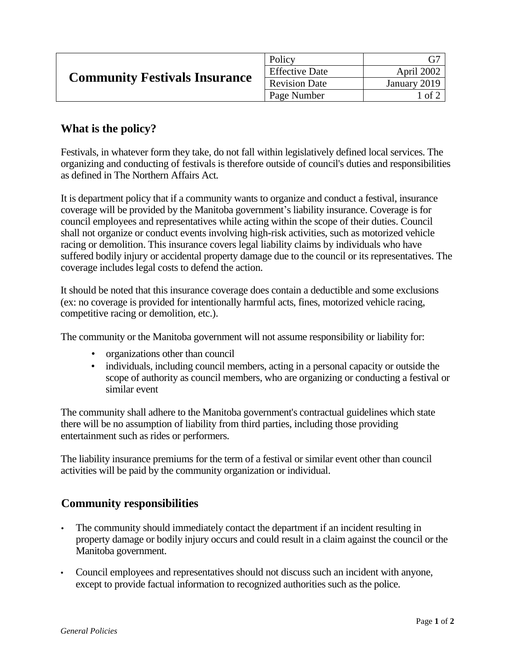| <b>Community Festivals Insurance</b> | Policy                |              |
|--------------------------------------|-----------------------|--------------|
|                                      | <b>Effective Date</b> | April 2002   |
|                                      | <b>Revision Date</b>  | January 2019 |
|                                      | Page Number           | l of 2       |

## **What is the policy?**

Festivals, in whatever form they take, do not fall within legislatively defined local services. The organizing and conducting of festivals is therefore outside of council's duties and responsibilities as defined in The Northern Affairs Act*.*

It is department policy that if a community wants to organize and conduct a festival, insurance coverage will be provided by the Manitoba government's liability insurance. Coverage is for council employees and representatives while acting within the scope of their duties. Council shall not organize or conduct events involving high-risk activities, such as motorized vehicle racing or demolition. This insurance covers legal liability claims by individuals who have suffered bodily injury or accidental property damage due to the council or its representatives. The coverage includes legal costs to defend the action.

It should be noted that this insurance coverage does contain a deductible and some exclusions (ex: no coverage is provided for intentionally harmful acts, fines, motorized vehicle racing, competitive racing or demolition, etc.).

The community or the Manitoba government will not assume responsibility or liability for:

- organizations other than council
- individuals, including council members, acting in a personal capacity or outside the scope of authority as council members, who are organizing or conducting a festival or similar event

The community shall adhere to the Manitoba government's contractual guidelines which state there will be no assumption of liability from third parties, including those providing entertainment such as rides or performers.

The liability insurance premiums for the term of a festival or similar event other than council activities will be paid by the community organization or individual.

## **Community responsibilities**

- The community should immediately contact the department if an incident resulting in property damage or bodily injury occurs and could result in a claim against the council or the Manitoba government.
- Council employees and representatives should not discuss such an incident with anyone, except to provide factual information to recognized authorities such as the police.